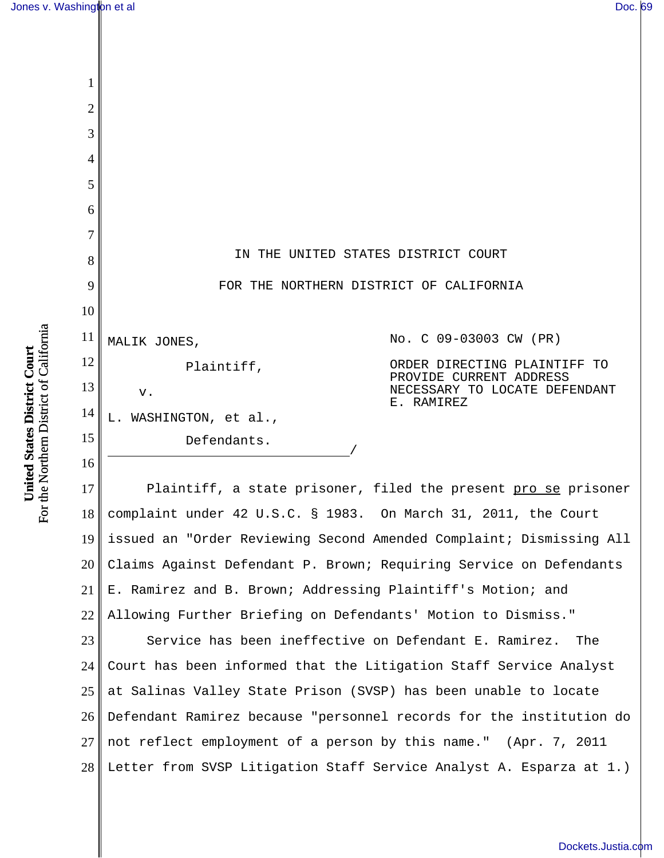1

| 2              |                                     |                                                          |
|----------------|-------------------------------------|----------------------------------------------------------|
| 3              |                                     |                                                          |
| 4              |                                     |                                                          |
| 5              |                                     |                                                          |
| 6              |                                     |                                                          |
| $\overline{7}$ |                                     |                                                          |
| 8              | IN THE UNITED STATES DISTRICT COURT |                                                          |
| 9              |                                     | FOR THE NORTHERN DISTRICT OF CALIFORNIA                  |
| 10             |                                     |                                                          |
| 11             | MALIK JONES,                        | No. C 09-03003 CW (PR)                                   |
| 12             | Plaintiff,                          | ORDER DIRECTING PLAINTIFF TO                             |
| 13             | $V$ .                               | PROVIDE CURRENT ADDRESS<br>NECESSARY TO LOCATE DEFENDANT |
| 14             | L. WASHINGTON, et al.,              | E. RAMIREZ                                               |
| 15             | Defendants.                         |                                                          |
| 16             |                                     |                                                          |

17 18 19 20 21 22 Plaintiff, a state prisoner, filed the present pro se prisoner complaint under 42 U.S.C. § 1983. On March 31, 2011, the Court issued an "Order Reviewing Second Amended Complaint; Dismissing All Claims Against Defendant P. Brown; Requiring Service on Defendants E. Ramirez and B. Brown; Addressing Plaintiff's Motion; and Allowing Further Briefing on Defendants' Motion to Dismiss."

23 24 25 26 27 28 Service has been ineffective on Defendant E. Ramirez. The Court has been informed that the Litigation Staff Service Analyst at Salinas Valley State Prison (SVSP) has been unable to locate Defendant Ramirez because "personnel records for the institution do not reflect employment of a person by this name." (Apr. 7, 2011 Letter from SVSP Litigation Staff Service Analyst A. Esparza at 1.)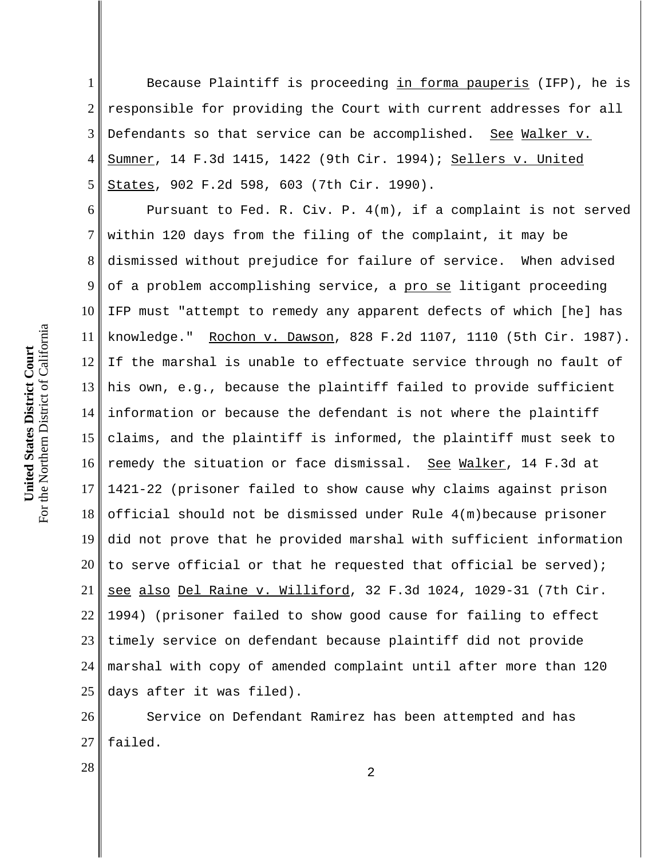1 2 3 4 5 Because Plaintiff is proceeding in forma pauperis (IFP), he is responsible for providing the Court with current addresses for all Defendants so that service can be accomplished. See Walker v. Sumner, 14 F.3d 1415, 1422 (9th Cir. 1994); Sellers v. United States, 902 F.2d 598, 603 (7th Cir. 1990).

6 7 8 9 10 11 12 13 14 15 16 17 18 19 20 21 22 23 24 25 Pursuant to Fed. R. Civ. P. 4(m), if a complaint is not served within 120 days from the filing of the complaint, it may be dismissed without prejudice for failure of service. When advised of a problem accomplishing service, a pro se litigant proceeding IFP must "attempt to remedy any apparent defects of which [he] has knowledge." Rochon v. Dawson, 828 F.2d 1107, 1110 (5th Cir. 1987). If the marshal is unable to effectuate service through no fault of his own, e.g., because the plaintiff failed to provide sufficient information or because the defendant is not where the plaintiff claims, and the plaintiff is informed, the plaintiff must seek to remedy the situation or face dismissal. See Walker, 14 F.3d at 1421-22 (prisoner failed to show cause why claims against prison official should not be dismissed under Rule 4(m)because prisoner did not prove that he provided marshal with sufficient information to serve official or that he requested that official be served); see also Del Raine v. Williford, 32 F.3d 1024, 1029-31 (7th Cir. 1994) (prisoner failed to show good cause for failing to effect timely service on defendant because plaintiff did not provide marshal with copy of amended complaint until after more than 120 days after it was filed).

26 27 Service on Defendant Ramirez has been attempted and has failed.

 $\begin{array}{|c|c|c|c|c|}\n \hline\n 28 & 2 \\
\hline\n \end{array}$ 

For the Northern District of California For the Northern District of California United States District Court **United States District Court**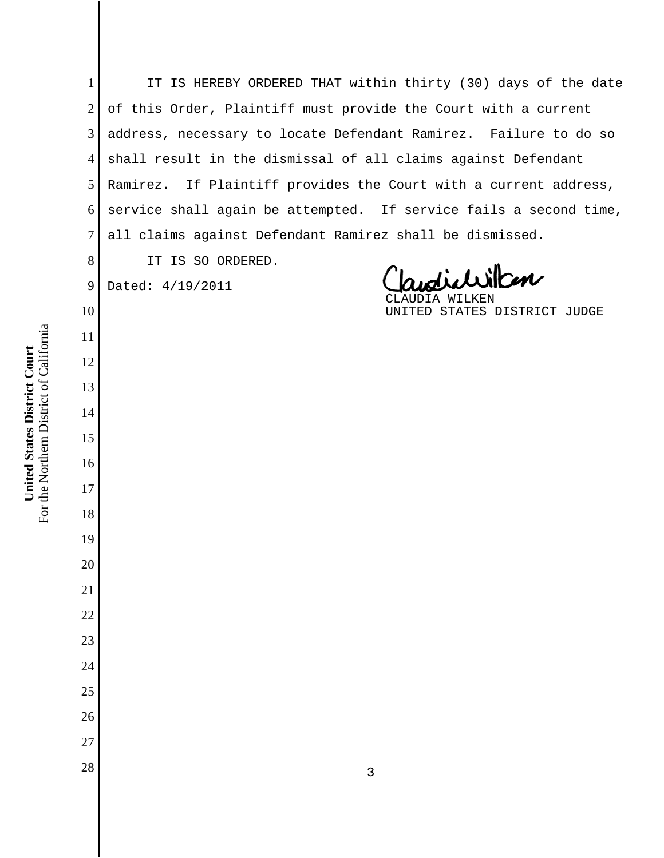IT IS HEREBY ORDERED THAT within thirty (30) days of the date of this Order, Plaintiff must provide the Court with a current address, necessary to locate Defendant Ramirez. Failure to do so shall result in the dismissal of all claims against Defendant Ramirez. If Plaintiff provides the Court with a current address, service shall again be attempted. If service fails a second time, all claims against Defendant Ramirez shall be dismissed. IT IS SO ORDERED. dictilitien Dated: 4/19/2011 UDIA WILKEN UNITED STATES DISTRICT JUDGE  $\begin{array}{|c|c|c|c|c|}\n \hline\n 28 & 3 \\
\hline\n \end{array}$